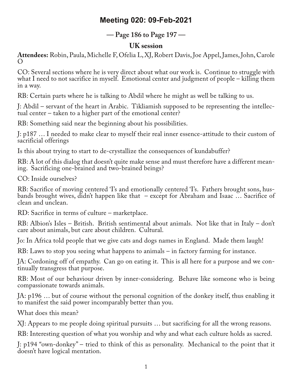# **Meeting 020: 09-Feb-2021**

### **— Page 186 to Page 197 —**

### **UK session**

**Attendees:** Robin, Paula,Michelle F, Ofelia L, XJ, Robert Davis, Joe Appel, James, John, Carole  $\left($ 

CO: Several sections where he is very direct about what our work is. Continue to struggle with what I need to not sacrifice in myself. Emotional center and judgment of people – killing them in a way.

RB: Certain parts where he is talking to Abdil where he might as well be talking to us.

J: Abdil – servant of the heart in Arabic. Tikliamish supposed to be representing the intellec‐ tual center – taken to a higher part of the emotional center?

RB: Something said near the beginning about his possibilities.

J: p187 … I needed to make clear to myself their real inner essence-attitude to their custom of sacrificial offerings

Is this about trying to start to de-crystallize the consequences of kundabuffer?

RB: A lot of this dialog that doesn't quite make sense and must therefore have a different mean-<br>ing. Sacrificing one-brained and two-brained beings?

CO: Inside ourselves?

RB: Sacrifice of moving centered 'I's and emotionally centered 'I's. Fathers brought sons, hus-<br>bands brought wives, didn't happen like that – except for Abraham and Isaac ... Sacrifice of clean and unclean.

RD: Sacrifice in terms of culture – marketplace.

RB: Albion's Isles – British. British sentimental about animals. Not like that in Italy – don't care about animals, but care about children. Cultural.

Jo: In Africa told people that we give cats and dogs names in England. Made them laugh!

RB: Laws to stop you seeing what happens to animals – in factory farming for instance.

JA: Cordoning off of empathy. Can go on eating it. This is all here for a purpose and we continually transgress that purpose.

RB: Most of our behaviour driven by inner-considering. Behave like someone who is being compassionate towards animals.

JA: p196 … but of course without the personal cognition of the donkey itself, thus enabling it to manifest the said power incomparably better than you.

What does this mean?

XJ: Appears to me people doing spiritual pursuits … but sacrificing for all the wrong reasons.

RB: Interesting question of what you worship and why and what each culture holds as sacred.

J: p194 "own-donkey" – tried to think of this as personality. Mechanical to the point that it doesn't have logical mentation.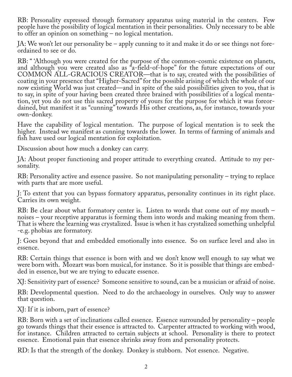RB: Personality expressed through formatory apparatus using material in the centers. Few people have the possibility of logical mentation in their personalities. Only necessary to be able to offer an opinion on something – no logical mentation.

JA: We won't let our personality be – apply cunning to it and make it do or see things not fore‐ ordained to see or do.

RB: " 'Although you were created for the purpose of the common-cosmic existence on planets, and although you were created also as "a-field-of-hope" for the future expectations of our COMMON ALL-GRACIOUS CREATOR—that is to say, created with the possibilities of coating in your presence that "Higher-Sacred" for the possible arising of which the whole of our now existing World was just created—and in spite of the said possibilities given to you, that is to say, in spite of your having been created three brained with possibilities of a logical menta‐ tion, yet you do not use this sacred property of yours for the purpose for which it was foreordained, but manifest it as "cunning" towards His other creations, as, for instance, towards your own-donkey.

Have the capability of logical mentation. The purpose of logical mentation is to seek the higher. Instead we manifest as cunning towards the lower. In terms of farming of animals and fish have used our logical mentation for exploitation.

Discussion about how much a donkey can carry.

JA: About proper functioning and proper attitude to everything created. Attitude to my per‐ sonality.

RB: Personality active and essence passive. So not manipulating personality – trying to replace with parts that are more useful.

J: To extent that you can bypass formatory apparatus, personality continues in its right place. Carries its own weight.

RB: Be clear about what formatory center is. Listen to words that come out of my mouth – noises – your receptive apparatus is forming them into words and making meaning from them. That is where the learning was crystalized. Issue is when it has crystalized something unhelpful -e.g. phobias are formatory.

J: Goes beyond that and embedded emotionally into essence. So on surface level and also in essence.

RB: Certain things that essence is born with and we don't know well enough to say what we were born with. Mozart was born musical, for instance. So it is possible that things are embed-<br>ded in essence, but we are trying to educate essence.

XJ: Sensitivity part of essence? Someone sensitive to sound, can be a musician or afraid of noise.

RB: Developmental question. Need to do the archaeology in ourselves. Only way to answer that question.

XJ: If it is inborn, part of essence?

RB: Born with a set of inclinations called essence. Essence surrounded by personality – people go towards things that their essence is attracted to. Carpenter attracted to working with wood, for instance. Children attracted to certain subjects at school. Personality is there to protect essence. Emotional pain that essence shrinks away from and personality protects.

RD: Is that the strength of the donkey. Donkey is stubborn. Not essence. Negative.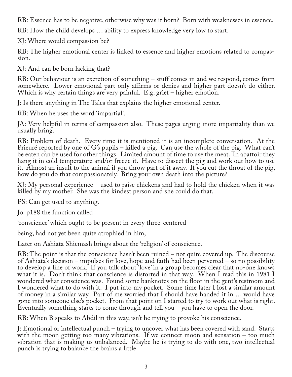RB: Essence has to be negative, otherwise why was it born? Born with weaknesses in essence.

RB: How the child develops … ability to express knowledge very low to start.

XJ: Where would compassion be?

RB: The higher emotional center is linked to essence and higher emotions related to compas‐ sion.

XJ: And can be born lacking that?

RB: Our behaviour is an excretion of something – stuff comes in and we respond, comes from somewhere. Lower emotional part only affirms or denies and higher part doesn't do either. Which is why certain things are very painful. E.g. grief – higher emotion.

J: Is there anything in The Tales that explains the higher emotional center.

RB: When he uses the word 'impartial'.

JA: Very helpful in terms of compassion also. These pages urging more impartiality than we usually bring.

RB: Problem of death. Every time it is mentioned it is an incomplete conversation. At the Prieuré reported by one of G's pupils – killed a pig. Can use the whole of the pig. What can't be eaten can be used for other things. Limited amount of time to use the meat. In abattoir they hang it in cold temperature and/or freeze it. Have to dissect the pig and work out how to use it. Almost an insult to the animal if you throw part of it away. If you cut the throat of the pig, how do you do that compassionately. Bring your own death into the picture?

XJ: My personal experience – used to raise chickens and had to hold the chicken when it was killed by my mother. She was the kindest person and she could do that.

PS: Can get used to anything.

Jo: p188 the function called

'conscience' which ought to be present in every three-centered

being, had not yet been quite atrophied in him,

Later on Ashiata Shiemash brings about the 'religion' of conscience.

RB: The point is that the conscience hasn't been ruined – not quite covered up. The discourse of Ashiata's decision – impulses for love, hope and faith had been perverted – so no possibility to develop a line of work. If you talk about 'love' in a group becomes clear that no-one knows what it is. Don't think that conscience is distorted in that way. When I read this in 1981 I wondered what conscience was. Found some banknotes on the floor in the gent's restroom and I wondered what to do with it. I put into my pocket. Some time later I lost a similar amount of money in a similar way. Part of me worried that I should have handed it in … would have gone into someone else's pocket. From that point on I started to try to work out what is right. Eventually something starts to come through and tell you – you have to open the door.

RB: When B speaks to Abdil in this way, isn't he trying to provoke his conscience.

J: Emotional or intellectual punch – trying to uncover what has been covered with sand. Starts with the moon getting too many vibrations. If we connect moon and sensation – too much vibration that is making us unbalanced. Maybe he is trying to do with one, two intellectual punch is trying to balance the brains a little.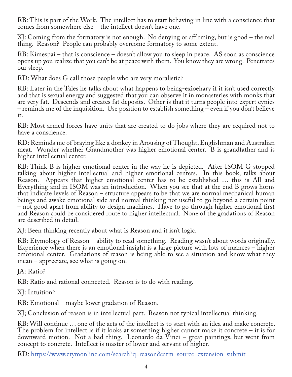RB: This is part of the Work. The intellect has to start behaving in line with a conscience that comes from somewhere else – the intellect doesn't have one.

XJ: Coming from the formatory is not enough. No denying or affirming, but is good – the real thing. Reason? People can probably overcome formatory to some extent.

RB: Kimespai – that is conscience – doesn't allow you to sleep in peace. AS soon as conscience opens up you realize that you can't be at peace with them. You know they are wrong. Penetrates our sleep.

RD: What does G call those people who are very moralistic?

RB: Later in the Tales he talks about what happens to being-exioehary if it isn't used correctly and that is sexual energy and suggested that you can observe it in monasteries with monks that are very fat. Descends and creates fat deposits. Other is that it turns people into expert cynics – reminds me of the inquisition. Use position to establish something – even if you don't believe it.

RB: Most armed forces have units that are created to do jobs where they are required not to have a conscience.

RD: Reminds me of braying like a donkey in Arousing of Thought, Englishman and Australian meat. Wonder whether Grandmother was higher emotional center. B is grandfather and is higher intellectual center.

RB: Think B is higher emotional center in the way he is depicted. After ISOM G stopped talking about higher intellectual and higher emotional centers. In this book, talks about Reason. Appears that higher emotional center has to be established … this is All and Everything and in ISOM was an introduction. When you see that at the end B grows horns that indicate levels of Reason – structure appears to be that we are normal mechanical human beings and awake emotional side and normal thinking not useful to go beyond a certain point – not good apart from ability to design machines. Have to go through higher emotional first and Reason could be considered route to higher intellectual. None of the gradations of Reason are described in detail.

XJ: Been thinking recently about what is Reason and it isn't logic.

RB: Etymology of Reason – ability to read something. Reading wasn't about words originally. Experience when there is an emotional insight is a large picture with lots of nuances – higher emotional center. Gradations of reason is being able to see a situation and know what they mean – appreciate, see what is going on.

JA: Ratio?

RB: Ratio and rational connected. Reason is to do with reading.

XJ: Intuition?

RB: Emotional – maybe lower gradation of Reason.

XJ; Conclusion of reason is in intellectual part. Reason not typical intellectual thinking.

RB: Will continue … one of the acts of the intellect is to start with an idea and make concrete. The problem for intellect is if it looks at something higher cannot make it concrete – it is for downward motion. Not a bad thing. Leonardo da Vinci – great paintings, but went from concept to concrete. Intellect is master of lower and servant of higher.

RD: https://www.etymonline.com/search?q=reason&utm\_source=extension\_submit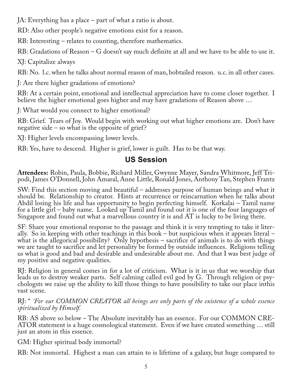JA: Everything has a place – part of what a ratio is about.

RD: Also other people's negative emotions exist for a reason.

RB: Interesting – relates to counting, therefore mathematics.

RB: Gradations of Reason – G doesn't say much definite at all and we have to be able to use it.

XJ: Capitalize always

RB: No. l.c. when he talks about normal reason of man, bobtailed reason. u.c. in all other cases.

J: Are there higher gradations of emotions?

RB: At a certain point, emotional and intellectual appreciation have to come closer together. I believe the higher emotional goes higher and may have gradations of Reason above …

J: What would you connect to higher emotional?

RB: Grief. Tears of Joy. Would begin with working out what higher emotions are. Don't have negative side – so what is the opposite of grief?

XJ: Higher levels encompassing lower levels.

RB: Yes, have to descend. Higher is grief, lower is guilt. Has to be that way.

## **US Session**

**Attendees:** Robin, Paula, Bobbie, Richard Miller, Gwynne Mayer, Sandra Whitmore, Jeff Tri‐ podi, James O'Donnell, John Amaral, Anne Little, Ronald Jones, Anthony Tan, Stephen Frantz

SW: Find this section moving and beautiful – addresses purpose of human beings and what it should be. Relationship to creator. Hints at recurrence or reincarnation when he talks about Abdil losing his life and has opportunity to begin perfecting himself. Korkalai – Tamil name for a little girl – baby name. Looked up Tamil and found out it is one of the four languages of Singapore and found out what a marvellous country it is and AT is lucky to be living there.

SF: Share your emotional response to the passage and think it is very tempting to take it liter‐ ally. So in keeping with other teachings in this book – but suspicious when it appears literal – what is the allegorical possibility? Only hypothesis – sacrifice of animals is to do with things we are taught to sacrifice and let personality be formed by outside influences. Religions telling us what is good and bad and desirable and undesirable about me. And that I was best judge of my positive and negative qualities.

RJ: Religion in general comes in for a lot of criticism. What is it in us that we worship that leads us to destroy weaker parts. Self calming called evil god by G. Through religion or psy‐ chologsts we raise up the ability to kill those things to have possibility to take our place inthis vast scene.

#### RJ: " *'For our COMMON CREATOR all beings are only parts of the existence of a whole essence spiritualized by Himself.*

RB: AS above so below – The Absolute inevitably has an essence. For our COMMON CRE‐ ATOR statement is a huge cosmological statement. Even if we have created something … still just an atom in this essence.

GM: Higher spiritual body immortal?

RB: Not immortal. Highest a man can attain to is lifetime of a galaxy, but huge compared to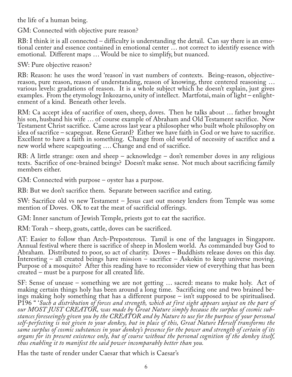the life of a human being.

GM: Connected with objective pure reason?

RB: I think it is all connected – difficulty is understanding the detail. Can say there is an emotional center and essence contained in emotional center … not correct to identify essence with emotional. Different maps … Would be nice to simplify, but nuanced.

SW: Pure objective reason?

RB: Reason: he uses the word 'reason' in vast numbers of contexts. Being-reason, objectivereason, pure reason, reason of understanding, reason of knowing, three centered reasoning … various levels: gradations of reason. It is a whole subject which he doesn't explain, just gives examples. From the etymology Inkozarno, unity of intellect. Martfotai, main of light – enlightenment of a kind. Beneath other levels.

RM: Ca accept idea of sacrifice of oxen, sheep, doves. Then he talks about … father brought his son, husband his wife … of course example of Abraham and Old Testament sacrifice. New Testament Christ sacrifice. Came across last year a philosopher who built whole philosophy on idea of sacrifice – scapegoat. Rene Gerard? Either we have faith in God or we have to sacrifice. Excellent to have a faith in something. Change from old world of necessity of sacrifice and a new world where scapegoating …. Change and end of sacrifice.

RB: A little strange: oxen and sheep – acknowledge – don't remember doves in any religious texts. Sacrifice of one-brained beings? Doesn't make sense. Not much about sacrificing family members either.

GM: Connected with purpose – oyster has a purpose.

RB: But we don't sacrifice them. Separate between sacrifice and eating.

SW: Sacrifice old vs new Testament – Jesus cast out money lenders from Temple was some mention of Doves. OK to eat the meat of sacrificial offerings.

GM: Inner sanctum of Jewish Temple, priests got to eat the sacrifice.

RM: Torah – sheep, goats, cattle, doves can be sacrificed.

AT: Easier to follow than Arch-Preposterous. Tamil is one of the languages in Singapore. Annual festival where there is sacrifice of sheep in Moslem world. As commanded buy God to Abraham. Distributed to poor, so act of charity. Doves – Buddhists release doves on this day. Interesting – all created beings have mission – sacrifice – Askokin to keep universe moving. Purpose of a mosquito? After this reading have to reconsider view of everything that has been created – must be a purpose for all created life.

SF: Sense of unease – something we are not getting ... sacred: means to make holy. Act of making certain things holy has been around a long time. Sacrificing one and two brained beings making holy something that has a different purpose – isn't supposed to be spiritualised. P196 " '*Such a distribution of forces and strength, which at first sight appears unjust on the part of* stances foreseeingly given you by the CREATOR and by Nature to use for the purpose of your personal *self-perfecting is not given to your donkey, but in place of this, Great Nature Herself transforms the same surplus of cosmic substances in your donkey's presence for the power and strength of certain of its organs for its present existence only, but of course without the personal cognition of the donkey itself, thus enabling it to manifest the said power incomparably better than you.*

Has the taste of render under Caesar that which is Caesar's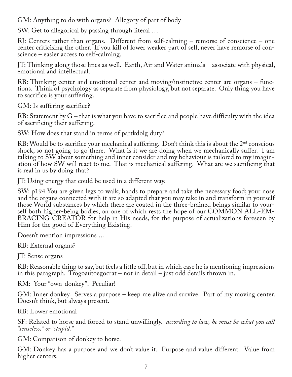GM: Anything to do with organs? Allegory of part of body

SW: Get to allegorical by passing through literal …

RJ: Centers rather than organs. Different from self-calming – remorse of conscience – one center criticising the other. If you kill of lower weaker part of self, never have remorse of conscience – easier access to self-calming.

JT: Thinking along those lines as well. Earth, Air and Water animals – associate with physical, emotional and intellectual.

RB: Thinking center and emotional center and moving/instinctive center are organs – functions. Think of psychology as separate from physiology, but not separate. Only thing you have to sacrifice is your suffering.

GM: Is suffering sacrifice?

RB: Statement by G – that is what you have to sacrifice and people have difficulty with the idea of sacrificing their suffering.

SW: How does that stand in terms of partkdolg duty?

RB: Would be to sacrifice your mechanical suffering. Don't think this is about the 2<sup>nd</sup> conscious shock, so not going to go there. What is it we are doing when we mechanically suffer. I am talking to SW about something and inner consider and my behaviour is tailored to my imagination of how SW will react to me. That is mechanical suffering. What are we sacrificing that is real in us by doing that?

JT: Using energy that could be used in a different way.

SW: p194 You are given legs to walk; hands to prepare and take the necessary food; your nose and the organs connected with it are so adapted that you may take in and transform in yourself those World substances by which there are coated in the three-brained beings similar to your‐ self both higher-being bodies, on one of which rests the hope of our COMMON ALL-EM‐ BRACING CREATOR for help in His needs, for the purpose of actualizations foreseen by Him for the good of Everything Existing.

Doesn't mention impressions …

RB: External organs?

JT: Sense organs

RB: Reasonable thing to say, but feels a little off, but in which case he is mentioning impressions in this paragraph. Trogoautoegocrat – not in detail – just odd details thrown in.

RM: Your "own-donkey". Peculiar!

GM: Inner donkey. Serves a purpose – keep me alive and survive. Part of my moving center. Doesn't think, but always present.

RB: Lower emotional

SF: Related to horse and forced to stand unwillingly. *according to law, he must be what you call "senseless," or "stupid."*

GM: Comparison of donkey to horse.

GM: Donkey has a purpose and we don't value it. Purpose and value different. Value from higher centers.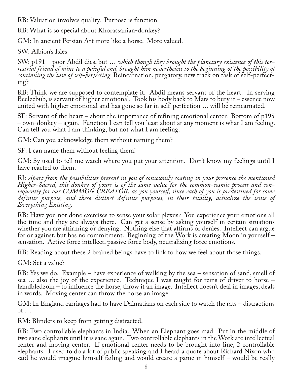RB: Valuation involves quality. Purpose is function.

RB: What is so special about Khorassanian-donkey?

GM: In ancient Persian Art more like a horse. More valued.

SW: Albion's Isles

SW: p191 – poor Abdil dies, but … *which though they brought the planetary existence of this ter‐ restrial friend of mine to a painful end, brought him nevertheless to the beginning of the possibility of continuing the task of self-perfecting*. Reincarnation, purgatory, new track on task of self-perfect‐ ing?

RB: Think we are supposed to contemplate it. Abdil means servant of the heart. In serving Beelzebub, is servant of higher emotional. Took his body back to Mars to bury it – essence now united with higher emotional and has gone so far in self-perfection … will be reincarnated.

SF: Servant of the heart – about the importance of refining emotional center. Bottom of p195 – own-donkey – again. Function I can tell you least about at any moment is what I am feeling. Can tell you what I am thinking, but not what I am feeling.

GM: Can you acknowledge them without naming them?

SF: I can name them without feeling them!

GM: Sy used to tell me watch where you put your attention. Don't know my feelings until I have reacted to them.

RJ: *Apart from the possibilities present in you of consciously coating in your presence the mentioned Higher-Sacred, this donkey of yours is of the same value for the common-cosmic process and con‐ sequently for our COMMON CREATOR, as you yourself, since each of you is predestined for some definite purpose, and these distinct definite purposes, in their totality, actualize the sense of Everything Existing.*

RB: Have you not done exercises to sense your solar plexus? You experience your emotions all the time and they are always there. Can get a sense by asking yourself in certain situations whether you are affirming or denying. Nothing else that affirms or denies. Intellect can argue for or against, but has no commitment. Beginning of the Work is creating Moon in yourself – sensation. Active force intellect, passive force body, neutralizing force emotions.

RB: Reading about these 2 brained beings have to link to how we feel about those things.

GM: Set a value?

RB: Yes we do. Example – have experience of walking by the sea – sensation of sand, smell of sea … also the joy of the experience. Technique I was taught for reins of driver to horse – handbledzoin – to influence the horse, throw it an image. Intellect doesn't deal in images, deals in words. Moving center can throw the horse an image.

GM: In England carriages had to have Dalmatians on each side to watch the rats – distractions of …

RM: Blinders to keep from getting distracted.

RB: Two controllable elephants in India. When an Elephant goes mad. Put in the middle of two sane elephants until it is sane again. Two controllable elephants in the Work are intellectual center and moving center. If emotional center needs to be brought into line, 2 controllable elephants. I used to do a lot of public speaking and I heard a quote about Richard Nixon who said he would imagine himself failing and would create a panic in himself – would be really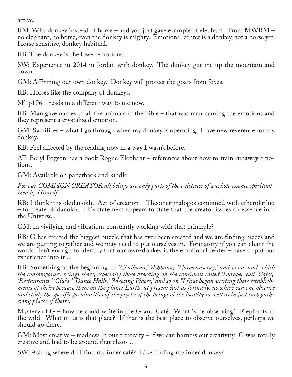active.

RM: Why donkey instead of horse – and you just gave example of elephant. From MWRM – no elephant, no horse, even the donkey is mighty. Emotional center is a donkey, not a horse yet. Horse sensitive, donkey habitual.

RB: The donkey is the lower emotional.

SW: Experience in 2014 in Jordan with donkey. The donkey got me up the mountain and down.

GM: Affirming our own donkey. Donkey will protect the goats from foxes.

RB: Horses like the company of donkeys.

SF: p196 – reads in a different way to me now.

RB: Man gave names to all the animals in the bible – that was man naming the emotions and they represent a crystalized emotion.

GM: Sacrifices – what I go through when my donkey is operating. Have new reverence for my donkey.

RB: Feel affected by the reading now in a way I wasn't before.

AT: Beryl Pogson has a book Rogue Elephant – references about how to train runaway emo-<br>tions.

GM: Available on paperback and kindle

*For our COMMON CREATOR all beings are only parts of the existence of a whole essence spiritual‐ ized by Himself.*

RB: I think it is okidanokh. Act of creation – Theomertmalogos combined with etherokrilno – to create okidanokh. This statement appears to state that the creator issues an essence into the Universe …

GM: In vivifying and vibrations constantly working with that principle?

RB: G has created the biggest puzzle that has ever been created and we are finding pieces and we are putting together and we may need to put ourselves in. Formatory if you can chant the words. Isn't enough to identify that our own-donkey is the emotional center – have to put our experience into it …

RB: Something at the beginning … *'Chaihana,' 'Ashhana,' 'Caravanseray,' and so on, and which the contemporary beings there, especially those breeding on the continent called 'Europe,' call 'Cafes,'* ments of theirs because there on the planet Earth, at present just as formerly, nowhere can one observe *and study the specific peculiarities of the psyche of the beings of the locality so well as in just such gath‐ ering places of theirs;*

Mystery of G – how he could write in the Grand Café. What is he observing? Elephants in the wild. What in us is that place? If that is the best place to observe ourselves, perhaps we should go there.

GM: Most creative – madness in our creativity – if we can harness our creativity. G was totally creative and had to be around that chaos …

SW: Asking where do I find my inner café? Like finding my inner donkey?